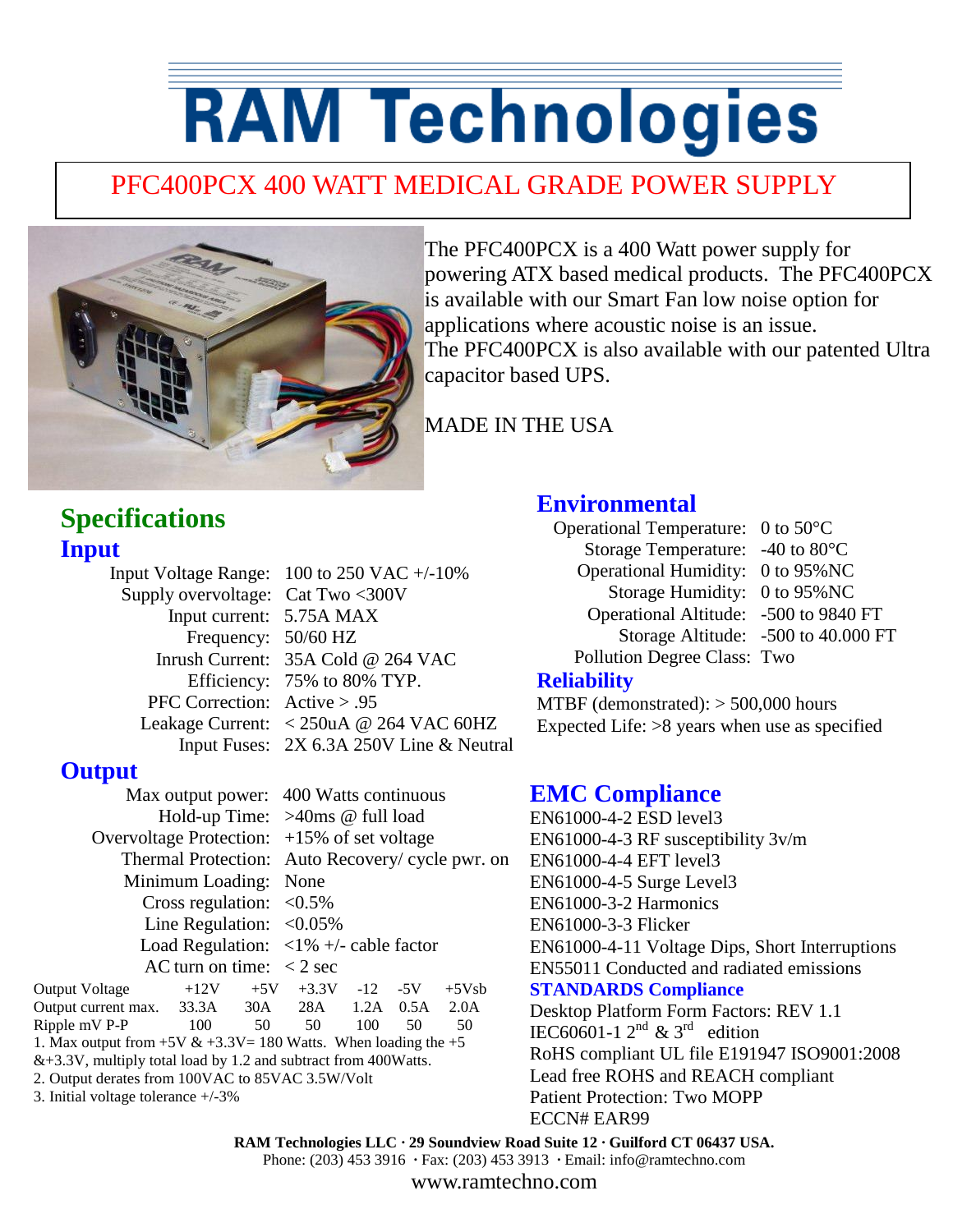# **RAM Technologies**

## PFC400PCX 400 WATT MEDICAL GRADE POWER SUPPLY



The PFC400PCX is a 400 Watt power supply for powering ATX based medical products. The PFC400PCX is available with our Smart Fan low noise option for applications where acoustic noise is an issue. The PFC400PCX is also available with our patented Ultra capacitor based UPS.

MADE IN THE USA

### **Specifications Input**

Input Voltage Range: 100 to 250 VAC +/-10% Supply overvoltage: Cat Two <300V Input current: 5.75A MAX Frequency: 50/60 HZ Inrush Current: 35A Cold @ 264 VAC Efficiency: 75% to 80% TYP. PFC Correction: Active > .95 Leakage Current: < 250uA @ 264 VAC 60HZ Input Fuses: 2X 6.3A 250V Line & Neutral

#### **Output**

Overvoltage Protection: +15% of set voltage Minimum Loading: None Cross regulation:  $\langle 0.5\%$ Line Regulation:  $< 0.05\%$ AC turn on time:  $\langle 2 \text{ sec} \rangle$ 

 Max output power: 400 Watts continuous Hold-up Time: >40ms @ full load Thermal Protection: Auto Recovery/ cycle pwr. on Load Regulation:  $\langle 1\% + \rangle$ - cable factor Output Voltage  $+12V +5V +3.3V -12 -5V +5V$ sb Output current max. 33.3A 30A 28A 1.2A 0.5A 2.0A Ripple mV P-P 100 50 50 100 50 50

1. Max output from  $+5V & +3.3V = 180$  Watts. When loading the  $+5$ &+3.3V, multiply total load by 1.2 and subtract from 400Watts.

2. Output derates from 100VAC to 85VAC 3.5W/Volt

3. Initial voltage tolerance +/-3%

#### **Environmental**

Operational Temperature: 0 to 50°C Storage Temperature: -40 to 80°C Operational Humidity: 0 to 95%NC Storage Humidity: 0 to 95%NC Operational Altitude: -500 to 9840 FT Storage Altitude: -500 to 40.000 FT Pollution Degree Class: Two

#### **Reliability**

MTBF (demonstrated): > 500,000 hours Expected Life: >8 years when use as specified

#### **EMC Compliance**

EN61000-4-2 ESD level3 EN61000-4-3 RF susceptibility 3v/m EN61000-4-4 EFT level3 EN61000-4-5 Surge Level3 EN61000-3-2 Harmonics EN61000-3-3 Flicker EN61000-4-11 Voltage Dips, Short Interruptions EN55011 Conducted and radiated emissions **STANDARDS Compliance** Desktop Platform Form Factors: REV 1.1 IEC60601-1  $2^{nd}$  & 3<sup>rd</sup> edition RoHS compliant UL file E191947 ISO9001:2008 Lead free ROHS and REACH compliant Patient Protection: Two MOPP ECCN# EAR99

**RAM Technologies LLC · 29 Soundview Road Suite 12 · Guilford CT 06437 USA.**

Phone: (203) 453 3916 **·** Fax: (203) 453 3913 **·** Email: info@ramtechno.com

www.ramtechno.com